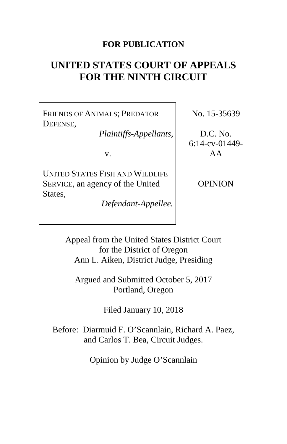## **FOR PUBLICATION**

# **UNITED STATES COURT OF APPEALS FOR THE NINTH CIRCUIT**

FRIENDS OF ANIMALS; PREDATOR DEFENSE,

*Plaintiffs-Appellants*,

v.

UNITED STATES FISH AND WILDLIFE SERVICE, an agency of the United States,

*Defendant-Appellee.*

No. 15-35639

D.C. No. 6:14-cv-01449- AA

OPINION

Appeal from the United States District Court for the District of Oregon Ann L. Aiken, District Judge, Presiding

Argued and Submitted October 5, 2017 Portland, Oregon

Filed January 10, 2018

Before: Diarmuid F. O'Scannlain, Richard A. Paez, and Carlos T. Bea, Circuit Judges.

Opinion by Judge O'Scannlain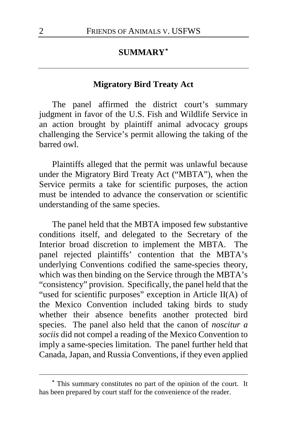## **SUMMARY[\\*](#page-1-0)**

## **Migratory Bird Treaty Act**

The panel affirmed the district court's summary judgment in favor of the U.S. Fish and Wildlife Service in an action brought by plaintiff animal advocacy groups challenging the Service's permit allowing the taking of the barred owl.

Plaintiffs alleged that the permit was unlawful because under the Migratory Bird Treaty Act ("MBTA"), when the Service permits a take for scientific purposes, the action must be intended to advance the conservation or scientific understanding of the same species.

The panel held that the MBTA imposed few substantive conditions itself, and delegated to the Secretary of the Interior broad discretion to implement the MBTA. The panel rejected plaintiffs' contention that the MBTA's underlying Conventions codified the same-species theory, which was then binding on the Service through the MBTA's "consistency" provision. Specifically, the panel held that the "used for scientific purposes" exception in Article II(A) of the Mexico Convention included taking birds to study whether their absence benefits another protected bird species. The panel also held that the canon of *noscitur a sociis* did not compel a reading of the Mexico Convention to imply a same-species limitation. The panel further held that Canada, Japan, and Russia Conventions, if they even applied

<span id="page-1-0"></span>**<sup>\*</sup>** This summary constitutes no part of the opinion of the court. It has been prepared by court staff for the convenience of the reader.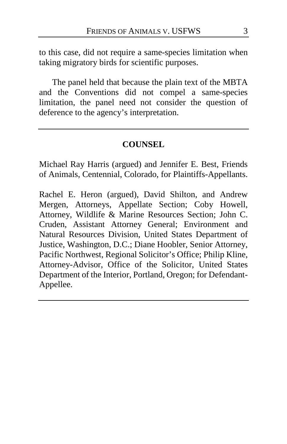to this case, did not require a same-species limitation when taking migratory birds for scientific purposes.

The panel held that because the plain text of the MBTA and the Conventions did not compel a same-species limitation, the panel need not consider the question of deference to the agency's interpretation.

#### **COUNSEL**

Michael Ray Harris (argued) and Jennifer E. Best, Friends of Animals, Centennial, Colorado, for Plaintiffs-Appellants.

Rachel E. Heron (argued), David Shilton, and Andrew Mergen, Attorneys, Appellate Section; Coby Howell, Attorney, Wildlife & Marine Resources Section; John C. Cruden, Assistant Attorney General; Environment and Natural Resources Division, United States Department of Justice, Washington, D.C.; Diane Hoobler, Senior Attorney, Pacific Northwest, Regional Solicitor's Office; Philip Kline, Attorney-Advisor, Office of the Solicitor, United States Department of the Interior, Portland, Oregon; for Defendant-Appellee.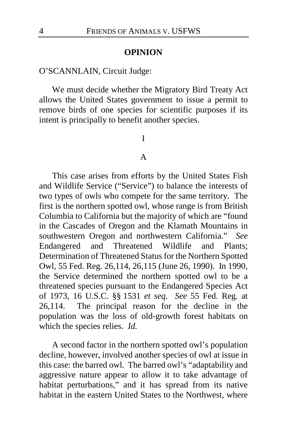#### **OPINION**

## O'SCANNLAIN, Circuit Judge:

We must decide whether the Migratory Bird Treaty Act allows the United States government to issue a permit to remove birds of one species for scientific purposes if its intent is principally to benefit another species.

I

#### A

This case arises from efforts by the United States Fish and Wildlife Service ("Service") to balance the interests of two types of owls who compete for the same territory. The first is the northern spotted owl, whose range is from British Columbia to California but the majority of which are "found in the Cascades of Oregon and the Klamath Mountains in southwestern Oregon and northwestern California." *See* Endangered and Threatened Wildlife and Plants; Determination of Threatened Status for the Northern Spotted Owl, 55 Fed. Reg. 26,114, 26,115 (June 26, 1990). In 1990, the Service determined the northern spotted owl to be a threatened species pursuant to the Endangered Species Act of 1973, 16 U.S.C. §§ 1531 *et seq*. *See* 55 Fed. Reg*.* at 26,114. The principal reason for the decline in the population was the loss of old-growth forest habitats on which the species relies. *Id.*

A second factor in the northern spotted owl's population decline, however, involved another species of owl at issue in this case: the barred owl. The barred owl's "adaptability and aggressive nature appear to allow it to take advantage of habitat perturbations," and it has spread from its native habitat in the eastern United States to the Northwest, where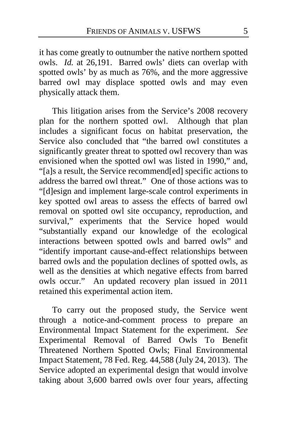it has come greatly to outnumber the native northern spotted owls. *Id.* at 26,191. Barred owls' diets can overlap with spotted owls' by as much as 76%, and the more aggressive barred owl may displace spotted owls and may even physically attack them.

This litigation arises from the Service's 2008 recovery plan for the northern spotted owl. Although that plan includes a significant focus on habitat preservation, the Service also concluded that "the barred owl constitutes a significantly greater threat to spotted owl recovery than was envisioned when the spotted owl was listed in 1990," and, "[a]s a result, the Service recommend[ed] specific actions to address the barred owl threat." One of those actions was to "[d]esign and implement large-scale control experiments in key spotted owl areas to assess the effects of barred owl removal on spotted owl site occupancy, reproduction, and survival," experiments that the Service hoped would "substantially expand our knowledge of the ecological interactions between spotted owls and barred owls" and "identify important cause-and-effect relationships between barred owls and the population declines of spotted owls, as well as the densities at which negative effects from barred owls occur." An updated recovery plan issued in 2011 retained this experimental action item.

To carry out the proposed study, the Service went through a notice-and-comment process to prepare an Environmental Impact Statement for the experiment. *See*  Experimental Removal of Barred Owls To Benefit Threatened Northern Spotted Owls; Final Environmental Impact Statement, 78 Fed. Reg. 44,588 (July 24, 2013). The Service adopted an experimental design that would involve taking about 3,600 barred owls over four years, affecting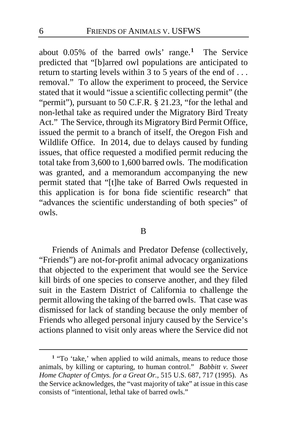about 0.05% of the barred owls' range.**[1](#page-5-0)** The Service predicted that "[b]arred owl populations are anticipated to return to starting levels within  $3$  to 5 years of the end of ... removal." To allow the experiment to proceed, the Service stated that it would "issue a scientific collecting permit" (the "permit"), pursuant to 50 C.F.R. § 21.23, "for the lethal and non-lethal take as required under the Migratory Bird Treaty Act." The Service, through its Migratory Bird Permit Office, issued the permit to a branch of itself, the Oregon Fish and Wildlife Office. In 2014, due to delays caused by funding issues, that office requested a modified permit reducing the total take from 3,600 to 1,600 barred owls. The modification was granted, and a memorandum accompanying the new permit stated that "[t]he take of Barred Owls requested in this application is for bona fide scientific research" that "advances the scientific understanding of both species" of owls.

#### B

Friends of Animals and Predator Defense (collectively, "Friends") are not-for-profit animal advocacy organizations that objected to the experiment that would see the Service kill birds of one species to conserve another, and they filed suit in the Eastern District of California to challenge the permit allowing the taking of the barred owls. That case was dismissed for lack of standing because the only member of Friends who alleged personal injury caused by the Service's actions planned to visit only areas where the Service did not

<span id="page-5-0"></span>**<sup>1</sup>** "To 'take,' when applied to wild animals, means to reduce those animals, by killing or capturing, to human control." *Babbitt v. Sweet Home Chapter of Cmtys. for a Great Or.*, 515 U.S. 687, 717 (1995). As the Service acknowledges, the "vast majority of take" at issue in this case consists of "intentional, lethal take of barred owls."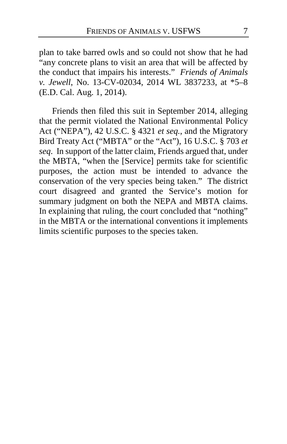plan to take barred owls and so could not show that he had "any concrete plans to visit an area that will be affected by the conduct that impairs his interests." *Friends of Animals v. Jewell*, No. 13-CV-02034, 2014 WL 3837233, at \*5–8 (E.D. Cal. Aug. 1, 2014).

Friends then filed this suit in September 2014, alleging that the permit violated the National Environmental Policy Act ("NEPA"), 42 U.S.C. § 4321 *et seq.*, and the Migratory Bird Treaty Act ("MBTA" or the "Act"), 16 U.S.C. § 703 *et seq*. In support of the latter claim, Friends argued that, under the MBTA, "when the [Service] permits take for scientific purposes, the action must be intended to advance the conservation of the very species being taken." The district court disagreed and granted the Service's motion for summary judgment on both the NEPA and MBTA claims. In explaining that ruling, the court concluded that "nothing" in the MBTA or the international conventions it implements limits scientific purposes to the species taken.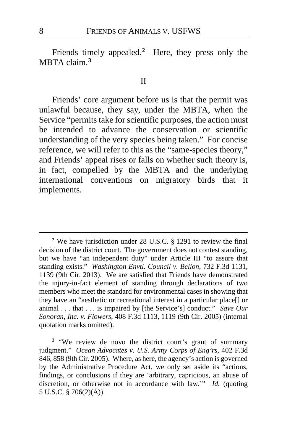Friends timely appealed.**[2](#page-7-0)** Here, they press only the MBTA claim.**[3](#page-7-1)**

#### II

Friends' core argument before us is that the permit was unlawful because, they say, under the MBTA, when the Service "permits take for scientific purposes, the action must be intended to advance the conservation or scientific understanding of the very species being taken." For concise reference, we will refer to this as the "same-species theory," and Friends' appeal rises or falls on whether such theory is, in fact, compelled by the MBTA and the underlying international conventions on migratory birds that it implements.

<span id="page-7-1"></span>**<sup>3</sup>** "We review de novo the district court's grant of summary judgment." *Ocean Advocates v. U.S. Army Corps of Eng'rs*, 402 F.3d 846, 858 (9th Cir. 2005). Where, as here, the agency's action is governed by the Administrative Procedure Act, we only set aside its "actions, findings, or conclusions if they are 'arbitrary, capricious, an abuse of discretion, or otherwise not in accordance with law.'" *Id.* (quoting 5 U.S.C. § 706(2)(A)).

<span id="page-7-0"></span>**<sup>2</sup>** We have jurisdiction under 28 U.S.C. § 1291 to review the final decision of the district court. The government does not contest standing, but we have "an independent duty" under Article III "to assure that standing exists." *Washington Envtl. Council v. Bellon*, 732 F.3d 1131, 1139 (9th Cir. 2013). We are satisfied that Friends have demonstrated the injury-in-fact element of standing through declarations of two members who meet the standard for environmental cases in showing that they have an "aesthetic or recreational interest in a particular place[] or animal . . . that . . . is impaired by [the Service's] conduct." *Save Our Sonoran, Inc. v. Flowers*, 408 F.3d 1113, 1119 (9th Cir. 2005) (internal quotation marks omitted).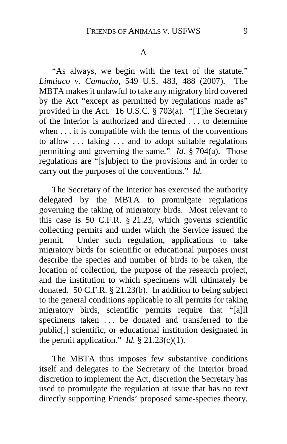#### A

"As always, we begin with the text of the statute." *Limtiaco v. Camacho*, 549 U.S. 483, 488 (2007). The MBTA makes it unlawful to take any migratory bird covered by the Act "except as permitted by regulations made as" provided in the Act. 16 U.S.C.  $\S$  703(a). "[T] he Secretary of the Interior is authorized and directed . . . to determine when . . . it is compatible with the terms of the conventions to allow . . . taking . . . and to adopt suitable regulations permitting and governing the same." *Id.* § 704(a). Those regulations are "[s]ubject to the provisions and in order to carry out the purposes of the conventions." *Id.*

The Secretary of the Interior has exercised the authority delegated by the MBTA to promulgate regulations governing the taking of migratory birds. Most relevant to this case is 50 C.F.R. § 21.23, which governs scientific collecting permits and under which the Service issued the permit. Under such regulation, applications to take migratory birds for scientific or educational purposes must describe the species and number of birds to be taken, the location of collection, the purpose of the research project, and the institution to which specimens will ultimately be donated. 50 C.F.R. § 21.23(b). In addition to being subject to the general conditions applicable to all permits for taking migratory birds, scientific permits require that "[a]ll specimens taken . . . be donated and transferred to the public[,] scientific, or educational institution designated in the permit application." *Id.*  $\S$  21.23(c)(1).

The MBTA thus imposes few substantive conditions itself and delegates to the Secretary of the Interior broad discretion to implement the Act, discretion the Secretary has used to promulgate the regulation at issue that has no text directly supporting Friends' proposed same-species theory.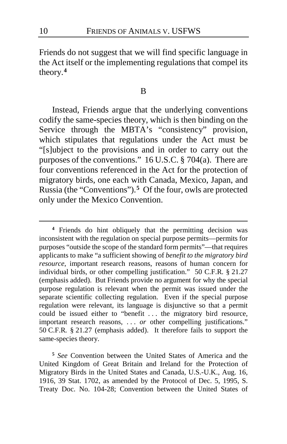Friends do not suggest that we will find specific language in the Act itself or the implementing regulations that compel its theory.**[4](#page-9-0)**

#### B

Instead, Friends argue that the underlying conventions codify the same-species theory, which is then binding on the Service through the MBTA's "consistency" provision, which stipulates that regulations under the Act must be "[s]ubject to the provisions and in order to carry out the purposes of the conventions." 16 U.S.C. § 704(a). There are four conventions referenced in the Act for the protection of migratory birds, one each with Canada, Mexico, Japan, and Russia (the "Conventions").**[5](#page-9-1)** Of the four, owls are protected only under the Mexico Convention.

<span id="page-9-1"></span>**<sup>5</sup>** *See* Convention between the United States of America and the United Kingdom of Great Britain and Ireland for the Protection of Migratory Birds in the United States and Canada, U.S.-U.K., Aug. 16, 1916, 39 Stat. 1702, as amended by the Protocol of Dec. 5, 1995, S. Treaty Doc. No. 104-28; Convention between the United States of

<span id="page-9-0"></span>**<sup>4</sup>** Friends do hint obliquely that the permitting decision was inconsistent with the regulation on special purpose permits—permits for purposes "outside the scope of the standard form permits"—that requires applicants to make "a sufficient showing of *benefit to the migratory bird resource*, important research reasons, reasons of human concern for individual birds, or other compelling justification." 50 C.F.R*.* § 21.27 (emphasis added). But Friends provide no argument for why the special purpose regulation is relevant when the permit was issued under the separate scientific collecting regulation. Even if the special purpose regulation were relevant, its language is disjunctive so that a permit could be issued either to "benefit . . . the migratory bird resource, important research reasons, . . . *or* other compelling justifications." 50 C.F.R*.* § 21.27 (emphasis added). It therefore fails to support the same-species theory.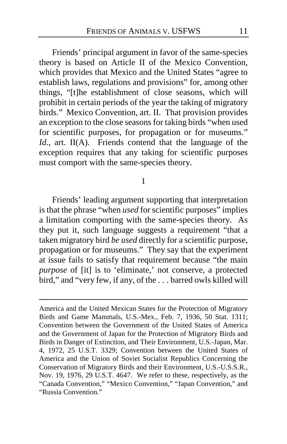Friends' principal argument in favor of the same-species theory is based on Article II of the Mexico Convention, which provides that Mexico and the United States "agree to establish laws, regulations and provisions" for, among other things, "[t]he establishment of close seasons, which will prohibit in certain periods of the year the taking of migratory birds." Mexico Convention, art. II. That provision provides an exception to the close seasons for taking birds "when used for scientific purposes, for propagation or for museums." *Id.*, art. II(A). Friends contend that the language of the exception requires that any taking for scientific purposes must comport with the same-species theory.

1

Friends' leading argument supporting that interpretation is that the phrase "when *used* for scientific purposes" implies a limitation comporting with the same-species theory. As they put it, such language suggests a requirement "that a taken migratory bird *be used* directly for a scientific purpose, propagation or for museums." They say that the experiment at issue fails to satisfy that requirement because "the main *purpose* of [it] is to 'eliminate,' not conserve, a protected bird," and "very few, if any, of the . . . barred owls killed will

America and the United Mexican States for the Protection of Migratory Birds and Game Mammals, U.S.-Mex., Feb. 7, 1936, 50 Stat. 1311; Convention between the Government of the United States of America and the Government of Japan for the Protection of Migratory Birds and Birds in Danger of Extinction, and Their Environment, U.S.-Japan, Mar. 4, 1972, 25 U.S.T. 3329; Convention between the United States of America and the Union of Soviet Socialist Republics Concerning the Conservation of Migratory Birds and their Environment, U.S.-U.S.S.R., Nov. 19, 1976, 29 U.S.T. 4647. We refer to these, respectively, as the "Canada Convention," "Mexico Convention," "Japan Convention," and "Russia Convention."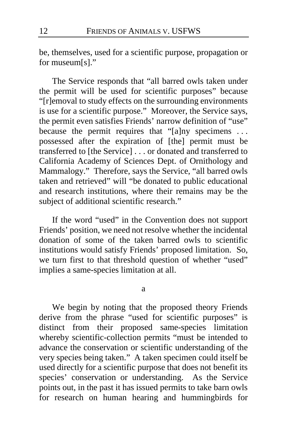be, themselves, used for a scientific purpose, propagation or for museum[s]."

The Service responds that "all barred owls taken under the permit will be used for scientific purposes" because "[r]emoval to study effects on the surrounding environments is use for a scientific purpose." Moreover, the Service says, the permit even satisfies Friends' narrow definition of "use" because the permit requires that "[a]ny specimens ... possessed after the expiration of [the] permit must be transferred to [the Service] . . . or donated and transferred to California Academy of Sciences Dept. of Ornithology and Mammalogy." Therefore, says the Service, "all barred owls taken and retrieved" will "be donated to public educational and research institutions, where their remains may be the subject of additional scientific research."

If the word "used" in the Convention does not support Friends' position, we need not resolve whether the incidental donation of some of the taken barred owls to scientific institutions would satisfy Friends' proposed limitation. So, we turn first to that threshold question of whether "used" implies a same-species limitation at all.

a

We begin by noting that the proposed theory Friends derive from the phrase "used for scientific purposes" is distinct from their proposed same-species limitation whereby scientific-collection permits "must be intended to advance the conservation or scientific understanding of the very species being taken." A taken specimen could itself be used directly for a scientific purpose that does not benefit its species' conservation or understanding. As the Service points out, in the past it has issued permits to take barn owls for research on human hearing and hummingbirds for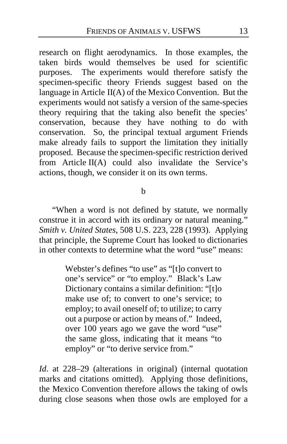research on flight aerodynamics. In those examples, the taken birds would themselves be used for scientific purposes. The experiments would therefore satisfy the specimen-specific theory Friends suggest based on the language in Article II(A) of the Mexico Convention. But the experiments would not satisfy a version of the same-species theory requiring that the taking also benefit the species' conservation, because they have nothing to do with conservation. So, the principal textual argument Friends make already fails to support the limitation they initially proposed. Because the specimen-specific restriction derived from Article II(A) could also invalidate the Service's actions, though, we consider it on its own terms.

b

"When a word is not defined by statute, we normally construe it in accord with its ordinary or natural meaning." *Smith v. United States*, 508 U.S. 223, 228 (1993). Applying that principle, the Supreme Court has looked to dictionaries in other contexts to determine what the word "use" means:

> Webster's defines "to use" as "[t]o convert to one's service" or "to employ." Black's Law Dictionary contains a similar definition: "[t]o make use of; to convert to one's service; to employ; to avail oneself of; to utilize; to carry out a purpose or action by means of." Indeed, over 100 years ago we gave the word "use" the same gloss, indicating that it means "to employ" or "to derive service from."

*Id*. at 228–29 (alterations in original) (internal quotation marks and citations omitted). Applying those definitions, the Mexico Convention therefore allows the taking of owls during close seasons when those owls are employed for a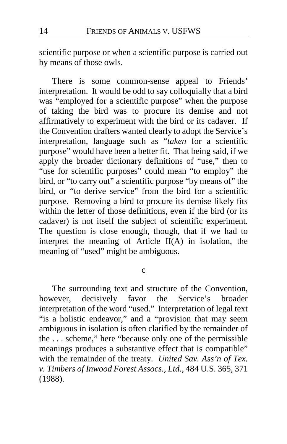scientific purpose or when a scientific purpose is carried out by means of those owls.

There is some common-sense appeal to Friends' interpretation. It would be odd to say colloquially that a bird was "employed for a scientific purpose" when the purpose of taking the bird was to procure its demise and not affirmatively to experiment with the bird or its cadaver. If the Convention drafters wanted clearly to adopt the Service's interpretation, language such as "*taken* for a scientific purpose" would have been a better fit. That being said, if we apply the broader dictionary definitions of "use," then to "use for scientific purposes" could mean "to employ" the bird, or "to carry out" a scientific purpose "by means of" the bird, or "to derive service" from the bird for a scientific purpose. Removing a bird to procure its demise likely fits within the letter of those definitions, even if the bird (or its cadaver) is not itself the subject of scientific experiment. The question is close enough, though, that if we had to interpret the meaning of Article II(A) in isolation, the meaning of "used" might be ambiguous.

c

The surrounding text and structure of the Convention, however, decisively favor the Service's broader interpretation of the word "used." Interpretation of legal text "is a holistic endeavor," and a "provision that may seem ambiguous in isolation is often clarified by the remainder of the . . . scheme," here "because only one of the permissible meanings produces a substantive effect that is compatible" with the remainder of the treaty. *United Sav. Ass'n of Tex. v. Timbers of Inwood Forest Assocs., Ltd.*, 484 U.S. 365, 371 (1988).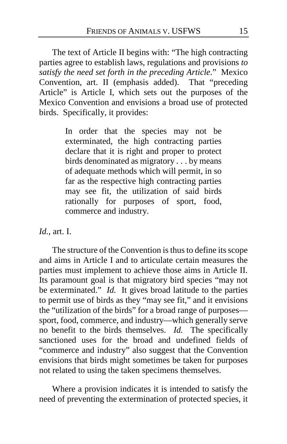The text of Article II begins with: "The high contracting parties agree to establish laws, regulations and provisions *to satisfy the need set forth in the preceding Article*." Mexico Convention, art. II (emphasis added). That "preceding Article" is Article I, which sets out the purposes of the Mexico Convention and envisions a broad use of protected birds. Specifically, it provides:

> In order that the species may not be exterminated, the high contracting parties declare that it is right and proper to protect birds denominated as migratory . . . by means of adequate methods which will permit, in so far as the respective high contracting parties may see fit, the utilization of said birds rationally for purposes of sport, food, commerce and industry.

*Id.*, art. I.

The structure of the Convention is thus to define its scope and aims in Article I and to articulate certain measures the parties must implement to achieve those aims in Article II. Its paramount goal is that migratory bird species "may not be exterminated." *Id.* It gives broad latitude to the parties to permit use of birds as they "may see fit," and it envisions the "utilization of the birds" for a broad range of purposes sport, food, commerce, and industry—which generally serve no benefit to the birds themselves. *Id.* The specifically sanctioned uses for the broad and undefined fields of "commerce and industry" also suggest that the Convention envisions that birds might sometimes be taken for purposes not related to using the taken specimens themselves.

Where a provision indicates it is intended to satisfy the need of preventing the extermination of protected species, it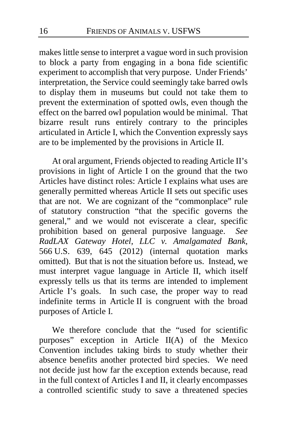makes little sense to interpret a vague word in such provision to block a party from engaging in a bona fide scientific experiment to accomplish that very purpose. Under Friends' interpretation, the Service could seemingly take barred owls to display them in museums but could not take them to prevent the extermination of spotted owls, even though the effect on the barred owl population would be minimal. That bizarre result runs entirely contrary to the principles articulated in Article I, which the Convention expressly says are to be implemented by the provisions in Article II.

At oral argument, Friends objected to reading Article II's provisions in light of Article I on the ground that the two Articles have distinct roles: Article I explains what uses are generally permitted whereas Article II sets out specific uses that are not. We are cognizant of the "commonplace" rule of statutory construction "that the specific governs the general," and we would not eviscerate a clear, specific prohibition based on general purposive language. *See RadLAX Gateway Hotel, LLC v. Amalgamated Bank*, 566 U.S. 639, 645 (2012) (internal quotation marks omitted). But that is not the situation before us. Instead, we must interpret vague language in Article II, which itself expressly tells us that its terms are intended to implement Article I's goals. In such case, the proper way to read indefinite terms in Article II is congruent with the broad purposes of Article I.

We therefore conclude that the "used for scientific purposes" exception in Article II(A) of the Mexico Convention includes taking birds to study whether their absence benefits another protected bird species. We need not decide just how far the exception extends because, read in the full context of Articles I and II, it clearly encompasses a controlled scientific study to save a threatened species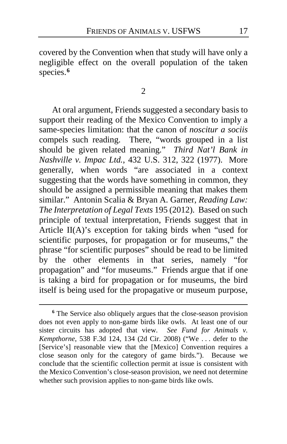covered by the Convention when that study will have only a negligible effect on the overall population of the taken species.**[6](#page-16-0)**

2

At oral argument, Friends suggested a secondary basis to support their reading of the Mexico Convention to imply a same-species limitation: that the canon of *noscitur a sociis* compels such reading. There, "words grouped in a list should be given related meaning." *Third Nat'l Bank in Nashville v. Impac Ltd.*, 432 U.S. 312, 322 (1977). More generally, when words "are associated in a context suggesting that the words have something in common, they should be assigned a permissible meaning that makes them similar." Antonin Scalia & Bryan A. Garner, *Reading Law: The Interpretation of Legal Texts* 195 (2012). Based on such principle of textual interpretation, Friends suggest that in Article II(A)'s exception for taking birds when "used for scientific purposes, for propagation or for museums," the phrase "for scientific purposes" should be read to be limited by the other elements in that series, namely "for propagation" and "for museums." Friends argue that if one is taking a bird for propagation or for museums, the bird itself is being used for the propagative or museum purpose,

<span id="page-16-0"></span>**<sup>6</sup>** The Service also obliquely argues that the close-season provision does not even apply to non-game birds like owls. At least one of our sister circuits has adopted that view. *See Fund for Animals v. Kempthorne*, 538 F.3d 124, 134 (2d Cir. 2008) ("We . . . defer to the [Service's] reasonable view that the [Mexico] Convention requires a close season only for the category of game birds."). Because we conclude that the scientific collection permit at issue is consistent with the Mexico Convention's close-season provision, we need not determine whether such provision applies to non-game birds like owls.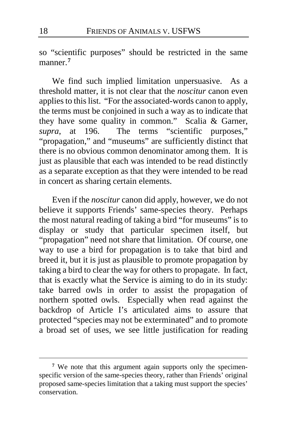so "scientific purposes" should be restricted in the same manner.**[7](#page-17-0)**

We find such implied limitation unpersuasive. As a threshold matter, it is not clear that the *noscitur* canon even applies to this list. "For the associated-words canon to apply, the terms must be conjoined in such a way as to indicate that they have some quality in common." Scalia & Garner, *supra*, at 196. The terms "scientific purposes," "propagation," and "museums" are sufficiently distinct that there is no obvious common denominator among them. It is just as plausible that each was intended to be read distinctly as a separate exception as that they were intended to be read in concert as sharing certain elements.

Even if the *noscitur* canon did apply, however, we do not believe it supports Friends' same-species theory. Perhaps the most natural reading of taking a bird "for museums" is to display or study that particular specimen itself, but "propagation" need not share that limitation. Of course, one way to use a bird for propagation is to take that bird and breed it, but it is just as plausible to promote propagation by taking a bird to clear the way for others to propagate. In fact, that is exactly what the Service is aiming to do in its study: take barred owls in order to assist the propagation of northern spotted owls. Especially when read against the backdrop of Article I's articulated aims to assure that protected "species may not be exterminated" and to promote a broad set of uses, we see little justification for reading

<span id="page-17-0"></span>**<sup>7</sup>** We note that this argument again supports only the specimenspecific version of the same-species theory, rather than Friends' original proposed same-species limitation that a taking must support the species' conservation.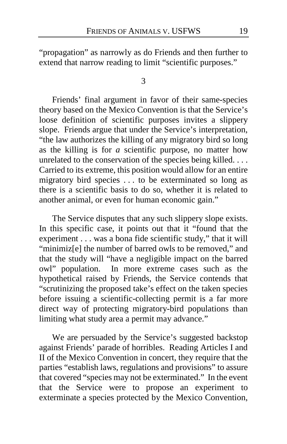"propagation" as narrowly as do Friends and then further to extend that narrow reading to limit "scientific purposes."

3

Friends' final argument in favor of their same-species theory based on the Mexico Convention is that the Service's loose definition of scientific purposes invites a slippery slope. Friends argue that under the Service's interpretation, "the law authorizes the killing of any migratory bird so long as the killing is for *a* scientific purpose, no matter how unrelated to the conservation of the species being killed. . . . Carried to its extreme, this position would allow for an entire migratory bird species . . . to be exterminated so long as there is a scientific basis to do so, whether it is related to another animal, or even for human economic gain."

The Service disputes that any such slippery slope exists. In this specific case, it points out that it "found that the experiment . . . was a bona fide scientific study," that it will "minimiz[e] the number of barred owls to be removed," and that the study will "have a negligible impact on the barred owl" population. In more extreme cases such as the hypothetical raised by Friends, the Service contends that "scrutinizing the proposed take's effect on the taken species before issuing a scientific-collecting permit is a far more direct way of protecting migratory-bird populations than limiting what study area a permit may advance."

We are persuaded by the Service's suggested backstop against Friends' parade of horribles. Reading Articles I and II of the Mexico Convention in concert, they require that the parties "establish laws, regulations and provisions" to assure that covered "species may not be exterminated." In the event that the Service were to propose an experiment to exterminate a species protected by the Mexico Convention,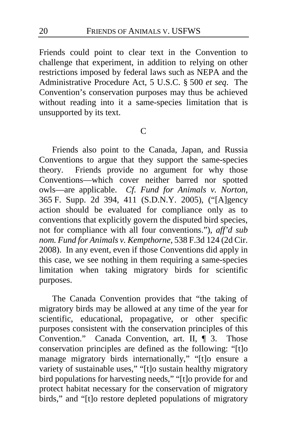Friends could point to clear text in the Convention to challenge that experiment, in addition to relying on other restrictions imposed by federal laws such as NEPA and the Administrative Procedure Act, 5 U.S.C. § 500 *et seq*. The Convention's conservation purposes may thus be achieved without reading into it a same-species limitation that is unsupported by its text.

## C

Friends also point to the Canada, Japan, and Russia Conventions to argue that they support the same-species theory. Friends provide no argument for why those Conventions—which cover neither barred nor spotted owls—are applicable. *Cf. Fund for Animals v. Norton*, 365 F. Supp. 2d 394, 411 (S.D.N.Y. 2005), ("[A]gency action should be evaluated for compliance only as to conventions that explicitly govern the disputed bird species, not for compliance with all four conventions."), *aff'd sub nom. Fund for Animals v. Kempthorne*, 538 F.3d 124 (2d Cir. 2008). In any event, even if those Conventions did apply in this case, we see nothing in them requiring a same-species limitation when taking migratory birds for scientific purposes.

The Canada Convention provides that "the taking of migratory birds may be allowed at any time of the year for scientific, educational, propagative, or other specific purposes consistent with the conservation principles of this Convention." Canada Convention, art. II, ¶ 3. Those conservation principles are defined as the following: "[t]o manage migratory birds internationally," "[t]o ensure a variety of sustainable uses," "[t]o sustain healthy migratory bird populations for harvesting needs," "[t]o provide for and protect habitat necessary for the conservation of migratory birds," and "[t]o restore depleted populations of migratory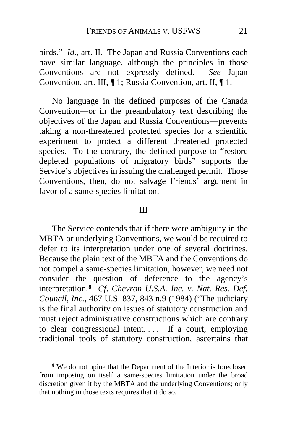birds." *Id.*, art. II. The Japan and Russia Conventions each have similar language, although the principles in those Conventions are not expressly defined. *See* Japan Convention, art. III, ¶ 1; Russia Convention, art. II, ¶ 1.

No language in the defined purposes of the Canada Convention—or in the preambulatory text describing the objectives of the Japan and Russia Conventions—prevents taking a non-threatened protected species for a scientific experiment to protect a different threatened protected species. To the contrary, the defined purpose to "restore depleted populations of migratory birds" supports the Service's objectives in issuing the challenged permit. Those Conventions, then, do not salvage Friends' argument in favor of a same-species limitation.

#### III

The Service contends that if there were ambiguity in the MBTA or underlying Conventions, we would be required to defer to its interpretation under one of several doctrines. Because the plain text of the MBTA and the Conventions do not compel a same-species limitation, however, we need not consider the question of deference to the agency's interpretation.**[8](#page-20-0)** *Cf*. *Chevron U.S.A. Inc. v. Nat. Res. Def. Council, Inc.*, 467 U.S. 837, 843 n.9 (1984) ("The judiciary is the final authority on issues of statutory construction and must reject administrative constructions which are contrary to clear congressional intent.... If a court, employing traditional tools of statutory construction, ascertains that

<span id="page-20-0"></span>**<sup>8</sup>** We do not opine that the Department of the Interior is foreclosed from imposing on itself a same-species limitation under the broad discretion given it by the MBTA and the underlying Conventions; only that nothing in those texts requires that it do so.